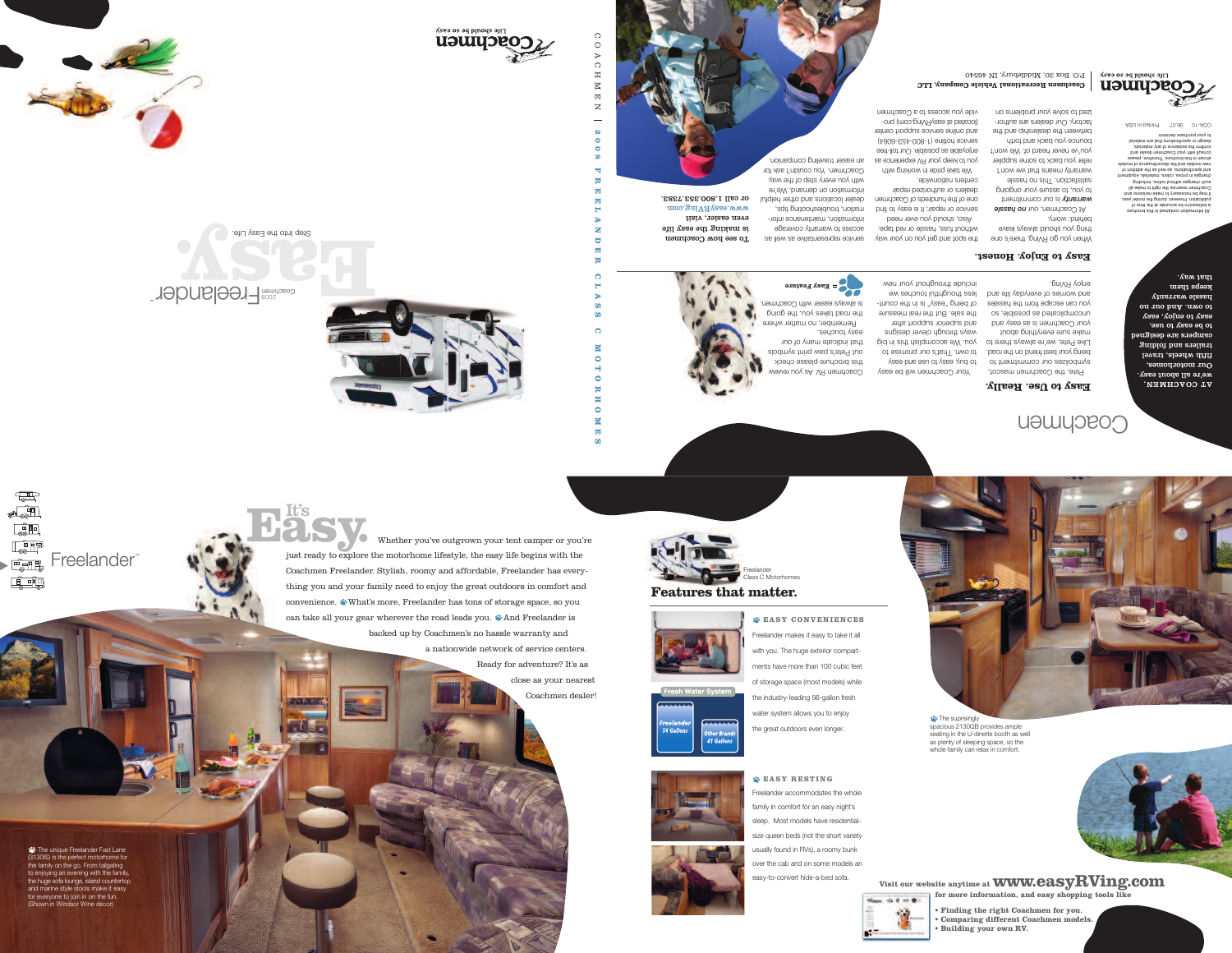



**2 0 0 8 F R E E L A N D E R**

> **C L A S S**

 $\overline{\phantom{m}}$ 

೧ O A  $\bigcirc$  $\Xi$  $\boxtimes$  $\mathbb H$  $\mathbf{z}$ 



**Coachmen Recreational Vehicle Company, LLC** P. Box 30, Middlebury, IN 46540

Step Into the Easy Life.



 $\begin{tabular}{|c|c|} \hline \quad \quad & \quad \quad & \quad \quad \\ \hline \quad \quad & \quad \quad & \quad \quad \\ \hline \end{tabular}$  $\bullet$  $\begin{tabular}{|c|c|} \hline \quad \quad & \quad \quad & \quad \quad \\ \hline \quad \quad & \quad \quad & \quad \quad \\ \hline \quad \quad & \quad \quad & \quad \quad \\ \hline \quad \quad & \quad \quad & \quad \quad \\ \hline \quad \quad & \quad \quad & \quad \quad \\ \hline \quad \quad & \quad \quad & \quad \quad \\ \hline \end{tabular}$  $\begin{tabular}{|c|c|} \hline \quad \quad & \quad \quad & \quad \quad \\ \hline \quad \quad & \quad \quad & \quad \quad \\ \hline \quad \quad & \quad \quad & \quad \quad \\ \hline \quad \quad & \quad \quad & \quad \quad \\ \hline \quad \quad & \quad \quad & \quad \quad \\ \hline \end{tabular}$ Freelander™  $\begin{tabular}{|c|c|} \hline \quad \quad & \quad \quad & \quad \quad \\ \hline \quad \quad & \quad \quad & \quad \quad \\ \hline \quad \quad & \quad \quad & \quad \quad \\ \hline \end{tabular}$ E - 15

**C**

**M O T O R H O M E S**



Your Coachmen will be easy to puly, easy of use and easy to own. That's our promise to

ways through clever designs and superior support after the sale. But the real measure of being "easy" is in the conutless thoughtful touches we include throughout your new

Pete, the Coachmen mascot, symbolizes our commitment to being your best friend on the road. Like Pete, we're always thene to vou. We accomplish raig big make sure everything about your Coachmen is as easy and uncomplicated as possible, so you can escape from the hassles nd worries of everyday life and <sup>a</sup> enjoy RVing.

To see poor Coachmen s making the easy life i even easier, visit moo.gniVAyase.www or call 1.800.353.7383.

All information contained in this brochure is believed to be accurate at the time of publication. However, during the model year, the may be necessary to make revisions and lls exlam of their edt zevreser nemdoso? such changes without notice, including changes in prices, colors, materials, equipment to notibbe ent as llew as enotiablibed bind elepom to estantitionals and the slepom were hown in this brochure. Therefore, please <sup>s</sup> consult with your Coachmen dealer and confirm the existence of any materials, esign or specifications that are material d to your purchase decision.

Coachmen RV. As you review this brochure please check out Pete's paw print symbols that indicate many of our

Remember, no matter where the road takes you, the going is always easier with Coachmen.

### **Easy to Enjoy. Honest.**

AT COACHMEN, we're all about easy. Our motorhomes, fifth wheels, travel trailers and folding campers are designed to be easy to use, asy to enjoy, easy e ou no bnA .mvo ot hassle warranty keba tµem that way.

**asy Feature E <sup>=</sup>**

easy touches.

to enjoying an evening with the family,<br>the bugs asfalle insectional counterfamily, charge cold fourigo, located counterfor everyone to join in on the fun. television and DVD player with a player in Windsor Wine decord (Shown in Windsor Wine decor)<br> **The unique Freelander Fast Lane** (3130IS) is the perfect motorhome for the family on the go. From tailgating the huge sofa lounge, island countertop



# **\*\*\*** The suprisingly spacious 2130QB provides ample seating in the U-dinette booth as well as plenty of sleeping space, so the whole family can relax in comfort.

**EASY RESTING** Freelander accommodates the whole family in comfort for an easy night's sleep. Most models have residentialsize queen beds (not the short variety usually found in RVs), a roomy bunk over the cab and on some models an easy-to-convert hide-a-bed sofa.

COA-10 06.07 Printed in USA





41 Gallons



the spot and get you on your way without fuss, hassle or red tape. Also, should you ever need

At Coachmen, our no hassle s our commitment i *arranty <sup>w</sup>* to you, to assure your ongoing slassed on aidT .noitostaitsa arranty means that we won't <sup>w</sup> refer you back to some supplier service or repair; it is easy to find one of the hundreds of Coachmen dealers or authorized repair centers nationwide.

**Easy.** It's Whether you've outgrown your tent camper or you're just ready to explore the motorhome lifestyle, the easy life begins with the Coachmen Freelander. Stylish, roomy and affordable, Freelander has everything you and your family need to enjoy the great outdoors in comfort and convenience. What's more, Freelander has tons of storage space, so you can take all your gear wherever the road leads you.  $\bullet$  And Freelander is backed up by Coachmen's no hassle warranty and

We take pride in working with you to keep your RV experience as enjoyable as possible. Our toll-free service hotline (1-800-453-6064) and online service support center (located at easyRVing.com) provide you access to a Coachmen

ervice representative as well as <sup>s</sup> access to warranty coverage information, maintenance infortrouplespooning tips, dealer locations and other helpful

a nationwide network of service centers. Ready for adventure? It's as

> close as your nearest Coachmen dealer!













### **Features that matter.**

**Visit our website anytime at www.easyRVing.com**

**for more information, and easy shopping tools like** 



## Coachmen

#### **Easy to Use. Really.**

**• Finding the right Coachmen for you. • Comparing different Coachmen models.**

**• Building your own RV.** 

New 19 8 10 10

**EASY CONVENIENCES** Freelander makes it easy to take it all with you. The huge exterior compartments have more than 100 cubic feet of storage space (most models) while the industry-leading 56-gallon fresh water system allows you to enjoy the great outdoors even longer.

hen you go RVing, there's one W thing you should blaye leave behind: worry.

you've never heard of. We won't bounce you back and forth between the dealership and the

factory. Our dealers are authorized to solve your problems on

information on demand. We're with you every step of the way. oachmen. You couldn't ask for C

an easier traveling companion.